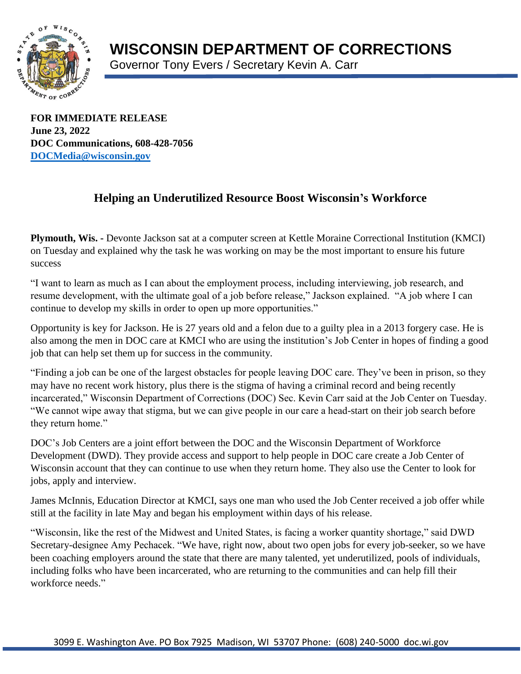

Governor Tony Evers / Secretary Kevin A. Carr

**FOR IMMEDIATE RELEASE June 23, 2022 DOC Communications, 608-428-7056 [DOCMedia@wisconsin.gov](mailto:DOCMedia@wisconsin.gov)**

## **Helping an Underutilized Resource Boost Wisconsin's Workforce**

**Plymouth, Wis. -** Devonte Jackson sat at a computer screen at Kettle Moraine Correctional Institution (KMCI) on Tuesday and explained why the task he was working on may be the most important to ensure his future success

"I want to learn as much as I can about the employment process, including interviewing, job research, and resume development, with the ultimate goal of a job before release," Jackson explained. "A job where I can continue to develop my skills in order to open up more opportunities."

Opportunity is key for Jackson. He is 27 years old and a felon due to a guilty plea in a 2013 forgery case. He is also among the men in DOC care at KMCI who are using the institution's Job Center in hopes of finding a good job that can help set them up for success in the community.

"Finding a job can be one of the largest obstacles for people leaving DOC care. They've been in prison, so they may have no recent work history, plus there is the stigma of having a criminal record and being recently incarcerated," Wisconsin Department of Corrections (DOC) Sec. Kevin Carr said at the Job Center on Tuesday. "We cannot wipe away that stigma, but we can give people in our care a head-start on their job search before they return home."

DOC's Job Centers are a joint effort between the DOC and the Wisconsin Department of Workforce Development (DWD). They provide access and support to help people in DOC care create a Job Center of Wisconsin account that they can continue to use when they return home. They also use the Center to look for jobs, apply and interview.

James McInnis, Education Director at KMCI, says one man who used the Job Center received a job offer while still at the facility in late May and began his employment within days of his release.

"Wisconsin, like the rest of the Midwest and United States, is facing a worker quantity shortage," said DWD Secretary-designee Amy Pechacek. "We have, right now, about two open jobs for every job-seeker, so we have been coaching employers around the state that there are many talented, yet underutilized, pools of individuals, including folks who have been incarcerated, who are returning to the communities and can help fill their workforce needs."